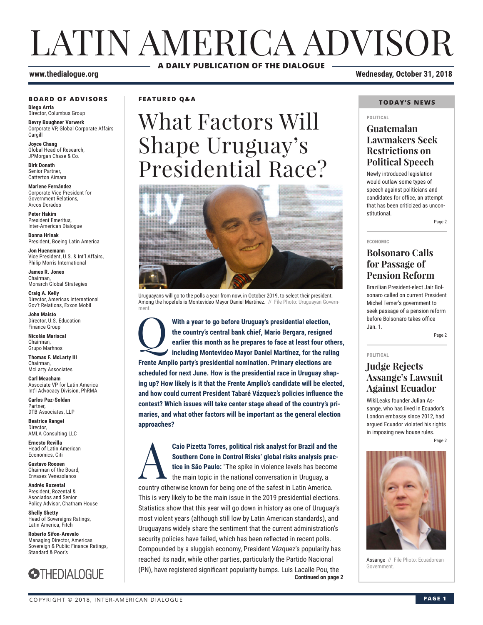# LATIN AMERICA ADVISOR **A DAILY PUBLICATION OF THE DIALOGUE**

#### **BOARD OF ADVISORS**

**Diego Arria** Director, Columbus Group

**Devry Boughner Vorwerk** Corporate VP, Global Corporate Affairs Cargill

**Joyce Chang** Global Head of Research, JPMorgan Chase & Co.

**Dirk Donath** Senior Partner, Catterton Aimara

**Marlene Fernández** Corporate Vice President for Government Relations, Arcos Dorados

**Peter Hakim** President Emeritus, Inter-American Dialogue

**Donna Hrinak** President, Boeing Latin America

**Jon Huenemann** Vice President, U.S. & Int'l Affairs, Philip Morris International

**James R. Jones** Chairman, Monarch Global Strategies

**Craig A. Kelly** Director, Americas International Gov't Relations, Exxon Mobil

**John Maisto** Director, U.S. Education Finance Group

**Nicolás Mariscal** Chairman, Grupo Marhnos

**Thomas F. McLarty III** Chairman, McLarty Associates

**Carl Meacham** Associate VP for Latin America Int'l Advocacy Division, PhRMA

**Carlos Paz-Soldan** Partner, DTB Associates, LLP

**Beatrice Rangel Director** AMLA Consulting LLC

**Ernesto Revilla**  Head of Latin American Economics, Citi

**Gustavo Roosen** Chairman of the Board, Envases Venezolanos

**Andrés Rozental**  President, Rozental & Asociados and Senior Policy Advisor, Chatham House

**Shelly Shetty** Head of Sovereigns Ratings, Latin America, Fitch

**Roberto Sifon-Arevalo** Managing Director, Americas Sovereign & Public Finance Ratings, Standard & Poor's



**FEATURED Q&A**

# What Factors Will Shape Uruguay's Presidential Race?



Uruguayans will go to the polls a year from now, in October 2019, to select their president. Among the hopefuls is Montevideo Mayor Daniel Martínez. // File Photo: Uruguayan Government.

With a year to go before Uruguay's presidential election, the country's central bank chief, Mario Bergara, resigned earlier this month as he prepares to face at least four oth including Montevideo Mayor Daniel Martínez, fo **the country's central bank chief, Mario Bergara, resigned earlier this month as he prepares to face at least four others, including Montevideo Mayor Daniel Martínez, for the ruling Frente Amplio party's presidential nomination. Primary elections are scheduled for next June. How is the presidential race in Uruguay shaping up? How likely is it that the Frente Amplio's candidate will be elected, and how could current President Tabaré Vázquez's policies influence the contest? Which issues will take center stage ahead of the country's primaries, and what other factors will be important as the general election approaches?**

**Continued on page 2** Caio Pizetta Torres, political risk analyst for Brazil and the<br>Southern Cone in Control Risks' global risks analysis prac-<br>tice in São Paulo: "The spike in violence levels has become<br>the main topic in the national conversa **Southern Cone in Control Risks' global risks analysis practice in São Paulo:** "The spike in violence levels has become the main topic in the national conversation in Uruguay, a country otherwise known for being one of the safest in Latin America. This is very likely to be the main issue in the 2019 presidential elections. Statistics show that this year will go down in history as one of Uruguay's most violent years (although still low by Latin American standards), and Uruguayans widely share the sentiment that the current administration's security policies have failed, which has been reflected in recent polls. Compounded by a sluggish economy, President Vázquez's popularity has reached its nadir, while other parties, particularly the Partido Nacional (PN), have registered significant popularity bumps. Luis Lacalle Pou, the

### **www.thedialogue.org Wednesday, October 31, 2018**

#### **TODAY'S NEWS**

#### **POLITICAL**

### **Guatemalan Lawmakers Seek Restrictions on Political Speech**

Newly introduced legislation would outlaw some types of speech against politicians and candidates for office, an attempt that has been criticized as unconstitutional.

Page 2

**ECONOMIC**

### **Bolsonaro Calls for Passage of Pension Reform**

Brazilian President-elect Jair Bolsonaro called on current President Michel Temer's government to seek passage of a pension reform before Bolsonaro takes office Jan. 1.

Page 2

#### **POLITICAL**

### **Judge Rejects Assange's Lawsuit Against Ecuador**

WikiLeaks founder Julian Assange, who has lived in Ecuador's London embassy since 2012, had argued Ecuador violated his rights in imposing new house rules.

Page 2



Assange // File Photo: Ecuadorean Government.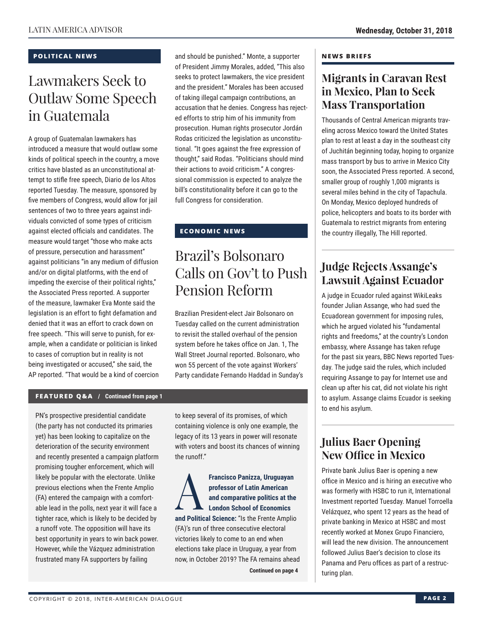### **POLITICAL NEWS**

# Lawmakers Seek to Outlaw Some Speech in Guatemala

A group of Guatemalan lawmakers has introduced a measure that would outlaw some kinds of political speech in the country, a move critics have blasted as an unconstitutional attempt to stifle free speech, Diario de los Altos reported Tuesday. The measure, sponsored by five members of Congress, would allow for jail sentences of two to three years against individuals convicted of some types of criticism against elected officials and candidates. The measure would target "those who make acts of pressure, persecution and harassment" against politicians "in any medium of diffusion and/or on digital platforms, with the end of impeding the exercise of their political rights," the Associated Press reported. A supporter of the measure, lawmaker Eva Monte said the legislation is an effort to fight defamation and denied that it was an effort to crack down on free speech. "This will serve to punish, for example, when a candidate or politician is linked to cases of corruption but in reality is not being investigated or accused," she said, the AP reported. "That would be a kind of coercion and should be punished." Monte, a supporter of President Jimmy Morales, added, "This also seeks to protect lawmakers, the vice president and the president." Morales has been accused of taking illegal campaign contributions, an accusation that he denies. Congress has rejected efforts to strip him of his immunity from prosecution. Human rights prosecutor Jordán Rodas criticized the legislation as unconstitutional. "It goes against the free expression of thought," said Rodas. "Politicians should mind their actions to avoid criticism." A congressional commission is expected to analyze the bill's constitutionality before it can go to the full Congress for consideration.

### **ECONOMIC NEWS**

# Brazil's Bolsonaro Calls on Gov't to Push Pension Reform

Brazilian President-elect Jair Bolsonaro on Tuesday called on the current administration to revisit the stalled overhaul of the pension system before he takes office on Jan. 1, The Wall Street Journal reported. Bolsonaro, who won 55 percent of the vote against Workers' Party candidate Fernando Haddad in Sunday's

### **FEATURED Q&A / Continued from page 1**

PN's prospective presidential candidate (the party has not conducted its primaries yet) has been looking to capitalize on the deterioration of the security environment and recently presented a campaign platform promising tougher enforcement, which will likely be popular with the electorate. Unlike previous elections when the Frente Amplio (FA) entered the campaign with a comfortable lead in the polls, next year it will face a tighter race, which is likely to be decided by a runoff vote. The opposition will have its best opportunity in years to win back power. However, while the Vázquez administration frustrated many FA supporters by failing

to keep several of its promises, of which containing violence is only one example, the legacy of its 13 years in power will resonate with voters and boost its chances of winning the runoff."

Francisco Panizza, Uruguayan<br>
professor of Latin American<br>
and comparative politics at the<br>
London School of Economics<br>
and Political Science: "In the Frante America **professor of Latin American and comparative politics at the London School of Economics and Political Science:** "Is the Frente Amplio (FA)'s run of three consecutive electoral victories likely to come to an end when elections take place in Uruguay, a year from now, in October 2019? The FA remains ahead

**Continued on page 4** 

#### **NEWS BRIEFS**

### **Migrants in Caravan Rest in Mexico, Plan to Seek Mass Transportation**

Thousands of Central American migrants traveling across Mexico toward the United States plan to rest at least a day in the southeast city of Juchitán beginning today, hoping to organize mass transport by bus to arrive in Mexico City soon, the Associated Press reported. A second, smaller group of roughly 1,000 migrants is several miles behind in the city of Tapachula. On Monday, Mexico deployed hundreds of police, helicopters and boats to its border with Guatemala to restrict migrants from entering the country illegally, The Hill reported.

### **Judge Rejects Assange's Lawsuit Against Ecuador**

A judge in Ecuador ruled against WikiLeaks founder Julian Assange, who had sued the Ecuadorean government for imposing rules, which he argued violated his "fundamental rights and freedoms," at the country's London embassy, where Assange has taken refuge for the past six years, BBC News reported Tuesday. The judge said the rules, which included requiring Assange to pay for Internet use and clean up after his cat, did not violate his right to asylum. Assange claims Ecuador is seeking to end his asylum.

### **Julius Baer Opening New Office in Mexico**

Private bank Julius Baer is opening a new office in Mexico and is hiring an executive who was formerly with HSBC to run it, International Investment reported Tuesday. Manuel Torroella Velázquez, who spent 12 years as the head of private banking in Mexico at HSBC and most recently worked at Monex Grupo Financiero, will lead the new division. The announcement followed Julius Baer's decision to close its Panama and Peru offices as part of a restructuring plan.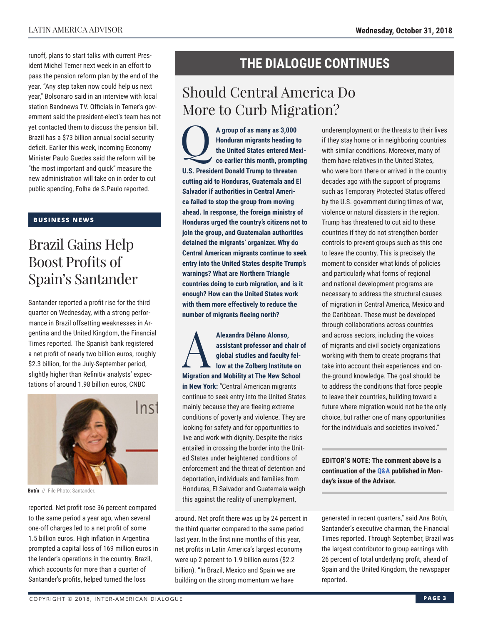runoff, plans to start talks with current President Michel Temer next week in an effort to pass the pension reform plan by the end of the year. "Any step taken now could help us next year," Bolsonaro said in an interview with local station Bandnews TV. Officials in Temer's government said the president-elect's team has not yet contacted them to discuss the pension bill. Brazil has a \$73 billion annual social security deficit. Earlier this week, incoming Economy Minister Paulo Guedes said the reform will be "the most important and quick" measure the new administration will take on in order to cut public spending, Folha de S.Paulo reported.

### **BUSINESS NEWS**

# Brazil Gains Help Boost Profits of Spain's Santander

Santander reported a profit rise for the third quarter on Wednesday, with a strong performance in Brazil offsetting weaknesses in Argentina and the United Kingdom, the Financial Times reported. The Spanish bank registered a net profit of nearly two billion euros, roughly \$2.3 billion, for the July-September period, slightly higher than Refinitiv analysts' expectations of around 1.98 billion euros, CNBC



**Botín** // File Photo: Santander.

reported. Net profit rose 36 percent compared to the same period a year ago, when several one-off charges led to a net profit of some 1.5 billion euros. High inflation in Argentina prompted a capital loss of 169 million euros in the lender's operations in the country. Brazil, which accounts for more than a quarter of Santander's profits, helped turned the loss

## **THE DIALOGUE CONTINUES**

# Should Central America Do More to Curb Migration?

Q**A group of as many as 3,000 Honduran migrants heading to the United States entered Mexico earlier this month, prompting U.S. President Donald Trump to threaten cutting aid to Honduras, Guatemala and El Salvador if authorities in Central America failed to stop the group from moving ahead. In response, the foreign ministry of Honduras urged the country's citizens not to join the group, and Guatemalan authorities detained the migrants' organizer. Why do Central American migrants continue to seek entry into the United States despite Trump's warnings? What are Northern Triangle countries doing to curb migration, and is it enough? How can the United States work with them more effectively to reduce the number of migrants fleeing north?**

Alexandra Délano Alonso,<br>assistant professor and ch<br>global studies and faculty<br>low at the Zolberg Institute **assistant professor and chair of global studies and faculty fellow at the Zolberg Institute on Migration and Mobility at The New School in New York:** "Central American migrants continue to seek entry into the United States mainly because they are fleeing extreme conditions of poverty and violence. They are looking for safety and for opportunities to live and work with dignity. Despite the risks entailed in crossing the border into the United States under heightened conditions of enforcement and the threat of detention and deportation, individuals and families from Honduras, El Salvador and Guatemala weigh this against the reality of unemployment,

around. Net profit there was up by 24 percent in the third quarter compared to the same period last year. In the first nine months of this year, net profits in Latin America's largest economy were up 2 percent to 1.9 billion euros (\$2.2 billion). "In Brazil, Mexico and Spain we are building on the strong momentum we have

underemployment or the threats to their lives if they stay home or in neighboring countries with similar conditions. Moreover, many of them have relatives in the United States, who were born there or arrived in the country decades ago with the support of programs such as Temporary Protected Status offered by the U.S. government during times of war, violence or natural disasters in the region. Trump has threatened to cut aid to these countries if they do not strengthen border controls to prevent groups such as this one to leave the country. This is precisely the moment to consider what kinds of policies and particularly what forms of regional and national development programs are necessary to address the structural causes of migration in Central America, Mexico and the Caribbean. These must be developed through collaborations across countries and across sectors, including the voices of migrants and civil society organizations working with them to create programs that take into account their experiences and onthe-ground knowledge. The goal should be to address the conditions that force people to leave their countries, building toward a future where migration would not be the only choice, but rather one of many opportunities for the individuals and societies involved."

**EDITOR'S NOTE: The comment above is a continuation of t[he Q&A pub](http://www.thedialogue.org/wp-content/uploads/2018/10/LAA181029.pdf)lished in Monday's issue of the Advisor.**

generated in recent quarters," said Ana Botín, Santander's executive chairman, the Financial Times reported. Through September, Brazil was the largest contributor to group earnings with 26 percent of total underlying profit, ahead of Spain and the United Kingdom, the newspaper reported.